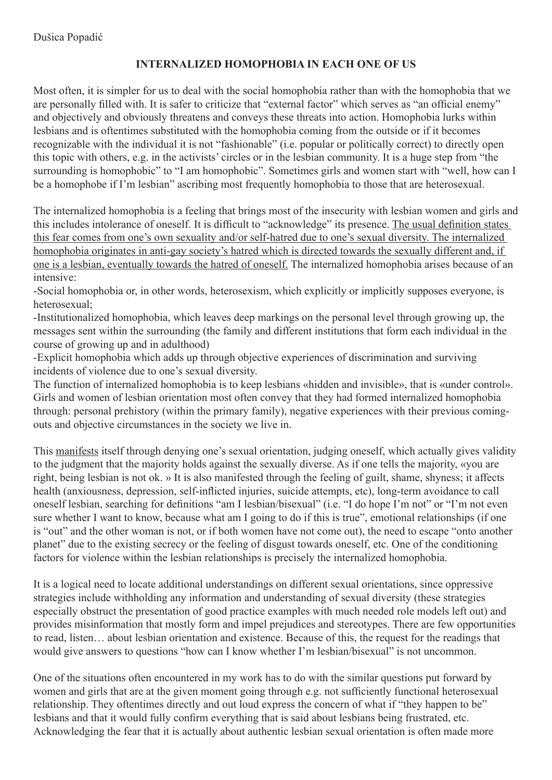## **INTERNALIZED HOMOPHOBIA IN EACH ONE OF US**

Most often, it is simpler for us to deal with the social homophobia rather than with the homophobia that we are personally filled with. It is safer to criticize that "external factor" which serves as "an official enemy" and objectively and obviously threatens and conveys these threats into action. Homophobia lurks within lesbians and is oftentimes substituted with the homophobia coming from the outside or if it becomes recognizable with the individual it is not "fashionable" (i.e. popular or politically correct) to directly open this topic with others, e.g. in the activists' circles or in the lesbian community. It is a huge step from "the surrounding is homophobic" to "I am homophobic". Sometimes girls and women start with "well, how can I be a homophobe if I'm lesbian" ascribing most frequently homophobia to those that are heterosexual.

The internalized homophobia is a feeling that brings most of the insecurity with lesbian women and girls and this includes intolerance of oneself. It is difficult to "acknowledge" its presence. The usual definition states this fear comes from one's own sexuality and/or self-hatred due to one's sexual diversity. The internalized homophobia originates in anti-gay society's hatred which is directed towards the sexually different and, if one is a lesbian, eventually towards the hatred of oneself. The internalized homophobia arises because of an intensive:

-Social homophobia or, in other words, heterosexism, which explicitly or implicitly supposes everyone, is heterosexual;

-Institutionalized homophobia, which leaves deep markings on the personal level through growing up, the messages sent within the surrounding (the family and different institutions that form each individual in the course of growing up and in adulthood)

-Explicit homophobia which adds up through objective experiences of discrimination and surviving incidents of violence due to one's sexual diversity.

The function of internalized homophobia is to keep lesbians «hidden and invisible», that is «under control». Girls and women of lesbian orientation most often convey that they had formed internalized homophobia through: personal prehistory (within the primary family), negative experiences with their previous comingouts and objective circumstances in the society we live in.

This manifests itself through denying one's sexual orientation, judging oneself, which actually gives validity to the judgment that the majority holds against the sexually diverse. As if one tells the majority, «you are right, being lesbian is not ok. » It is also manifested through the feeling of guilt, shame, shyness; it affects health (anxiousness, depression, self-inflicted injuries, suicide attempts, etc), long-term avoidance to call oneself lesbian, searching for definitions "am I lesbian/bisexual" (i.e. "I do hope I'm not" or "I'm not even sure whether I want to know, because what am I going to do if this is true", emotional relationships (if one is "out" and the other woman is not, or if both women have not come out), the need to escape "onto another planet" due to the existing secrecy or the feeling of disgust towards oneself, etc. One of the conditioning factors for violence within the lesbian relationships is precisely the internalized homophobia.

It is a logical need to locate additional understandings on different sexual orientations, since oppressive strategies include withholding any information and understanding of sexual diversity (these strategies especially obstruct the presentation of good practice examples with much needed role models left out) and provides misinformation that mostly form and impel prejudices and stereotypes. There are few opportunities to read, listen… about lesbian orientation and existence. Because of this, the request for the readings that would give answers to questions "how can I know whether I'm lesbian/bisexual" is not uncommon.

One of the situations often encountered in my work has to do with the similar questions put forward by women and girls that are at the given moment going through e.g. not sufficiently functional heterosexual relationship. They oftentimes directly and out loud express the concern of what if "they happen to be" lesbians and that it would fully confirm everything that is said about lesbians being frustrated, etc. Acknowledging the fear that it is actually about authentic lesbian sexual orientation is often made more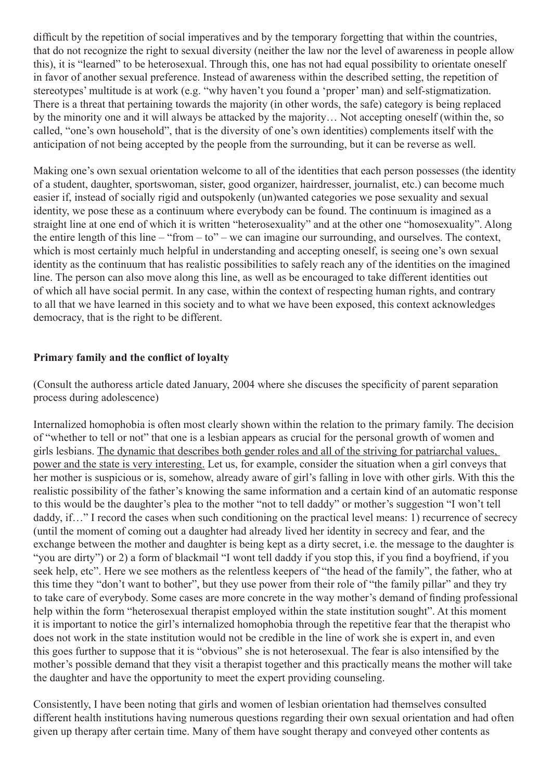difficult by the repetition of social imperatives and by the temporary forgetting that within the countries, that do not recognize the right to sexual diversity (neither the law nor the level of awareness in people allow this), it is "learned" to be heterosexual. Through this, one has not had equal possibility to orientate oneself in favor of another sexual preference. Instead of awareness within the described setting, the repetition of stereotypes' multitude is at work (e.g. "why haven't you found a 'proper' man) and self-stigmatization. There is a threat that pertaining towards the majority (in other words, the safe) category is being replaced by the minority one and it will always be attacked by the majority… Not accepting oneself (within the, so called, "one's own household", that is the diversity of one's own identities) complements itself with the anticipation of not being accepted by the people from the surrounding, but it can be reverse as well.

Making one's own sexual orientation welcome to all of the identities that each person possesses (the identity of a student, daughter, sportswoman, sister, good organizer, hairdresser, journalist, etc.) can become much easier if, instead of socially rigid and outspokenly (un)wanted categories we pose sexuality and sexual identity, we pose these as a continuum where everybody can be found. The continuum is imagined as a straight line at one end of which it is written "heterosexuality" and at the other one "homosexuality". Along the entire length of this line – "from – to" – we can imagine our surrounding, and ourselves. The context, which is most certainly much helpful in understanding and accepting oneself, is seeing one's own sexual identity as the continuum that has realistic possibilities to safely reach any of the identities on the imagined line. The person can also move along this line, as well as be encouraged to take different identities out of which all have social permit. In any case, within the context of respecting human rights, and contrary to all that we have learned in this society and to what we have been exposed, this context acknowledges democracy, that is the right to be different.

## **Primary family and the conflict of loyalty**

(Consult the authoress article dated January, 2004 where she discuses the specificity of parent separation process during adolescence)

Internalized homophobia is often most clearly shown within the relation to the primary family. The decision of "whether to tell or not" that one is a lesbian appears as crucial for the personal growth of women and girls lesbians. The dynamic that describes both gender roles and all of the striving for patriarchal values, power and the state is very interesting. Let us, for example, consider the situation when a girl conveys that her mother is suspicious or is, somehow, already aware of girl's falling in love with other girls. With this the realistic possibility of the father's knowing the same information and a certain kind of an automatic response to this would be the daughter's plea to the mother "not to tell daddy" or mother's suggestion "I won't tell daddy, if…" I record the cases when such conditioning on the practical level means: 1) recurrence of secrecy (until the moment of coming out a daughter had already lived her identity in secrecy and fear, and the exchange between the mother and daughter is being kept as a dirty secret, i.e. the message to the daughter is "you are dirty") or 2) a form of blackmail "I wont tell daddy if you stop this, if you find a boyfriend, if you seek help, etc". Here we see mothers as the relentless keepers of "the head of the family", the father, who at this time they "don't want to bother", but they use power from their role of "the family pillar" and they try to take care of everybody. Some cases are more concrete in the way mother's demand of finding professional help within the form "heterosexual therapist employed within the state institution sought". At this moment it is important to notice the girl's internalized homophobia through the repetitive fear that the therapist who does not work in the state institution would not be credible in the line of work she is expert in, and even this goes further to suppose that it is "obvious" she is not heterosexual. The fear is also intensified by the mother's possible demand that they visit a therapist together and this practically means the mother will take the daughter and have the opportunity to meet the expert providing counseling.

Consistently, I have been noting that girls and women of lesbian orientation had themselves consulted different health institutions having numerous questions regarding their own sexual orientation and had often given up therapy after certain time. Many of them have sought therapy and conveyed other contents as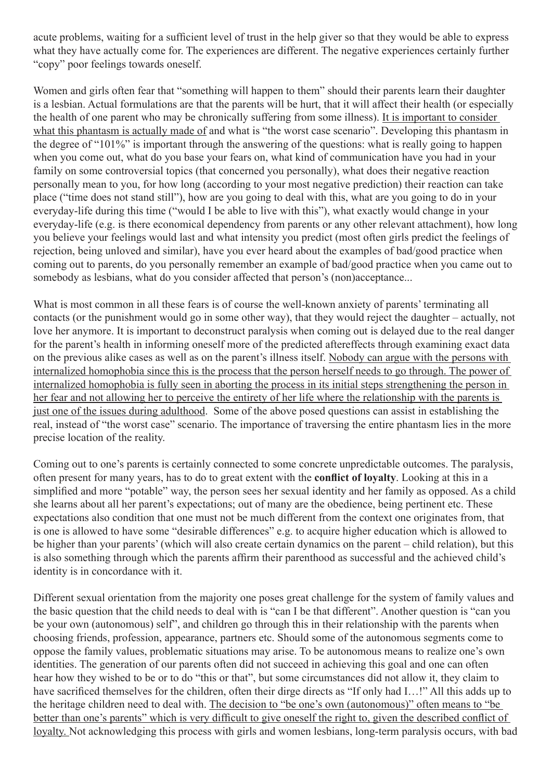acute problems, waiting for a sufficient level of trust in the help giver so that they would be able to express what they have actually come for. The experiences are different. The negative experiences certainly further "copy" poor feelings towards oneself.

Women and girls often fear that "something will happen to them" should their parents learn their daughter is a lesbian. Actual formulations are that the parents will be hurt, that it will affect their health (or especially the health of one parent who may be chronically suffering from some illness). It is important to consider what this phantasm is actually made of and what is "the worst case scenario". Developing this phantasm in the degree of "101%" is important through the answering of the questions: what is really going to happen when you come out, what do you base your fears on, what kind of communication have you had in your family on some controversial topics (that concerned you personally), what does their negative reaction personally mean to you, for how long (according to your most negative prediction) their reaction can take place ("time does not stand still"), how are you going to deal with this, what are you going to do in your everyday-life during this time ("would I be able to live with this"), what exactly would change in your everyday-life (e.g. is there economical dependency from parents or any other relevant attachment), how long you believe your feelings would last and what intensity you predict (most often girls predict the feelings of rejection, being unloved and similar), have you ever heard about the examples of bad/good practice when coming out to parents, do you personally remember an example of bad/good practice when you came out to somebody as lesbians, what do you consider affected that person's (non)acceptance...

What is most common in all these fears is of course the well-known anxiety of parents' terminating all contacts (or the punishment would go in some other way), that they would reject the daughter – actually, not love her anymore. It is important to deconstruct paralysis when coming out is delayed due to the real danger for the parent's health in informing oneself more of the predicted aftereffects through examining exact data on the previous alike cases as well as on the parent's illness itself. Nobody can argue with the persons with internalized homophobia since this is the process that the person herself needs to go through. The power of internalized homophobia is fully seen in aborting the process in its initial steps strengthening the person in her fear and not allowing her to perceive the entirety of her life where the relationship with the parents is just one of the issues during adulthood. Some of the above posed questions can assist in establishing the real, instead of "the worst case" scenario. The importance of traversing the entire phantasm lies in the more precise location of the reality.

Coming out to one's parents is certainly connected to some concrete unpredictable outcomes. The paralysis, often present for many years, has to do to great extent with the **conflict of loyalty**. Looking at this in a simplified and more "potable" way, the person sees her sexual identity and her family as opposed. As a child she learns about all her parent's expectations; out of many are the obedience, being pertinent etc. These expectations also condition that one must not be much different from the context one originates from, that is one is allowed to have some "desirable differences" e.g. to acquire higher education which is allowed to be higher than your parents' (which will also create certain dynamics on the parent – child relation), but this is also something through which the parents affirm their parenthood as successful and the achieved child's identity is in concordance with it.

Different sexual orientation from the majority one poses great challenge for the system of family values and the basic question that the child needs to deal with is "can I be that different". Another question is "can you be your own (autonomous) self", and children go through this in their relationship with the parents when choosing friends, profession, appearance, partners etc. Should some of the autonomous segments come to oppose the family values, problematic situations may arise. To be autonomous means to realize one's own identities. The generation of our parents often did not succeed in achieving this goal and one can often hear how they wished to be or to do "this or that", but some circumstances did not allow it, they claim to have sacrificed themselves for the children, often their dirge directs as "If only had I…!" All this adds up to the heritage children need to deal with. The decision to "be one's own (autonomous)" often means to "be better than one's parents" which is very difficult to give oneself the right to, given the described conflict of loyalty. Not acknowledging this process with girls and women lesbians, long-term paralysis occurs, with bad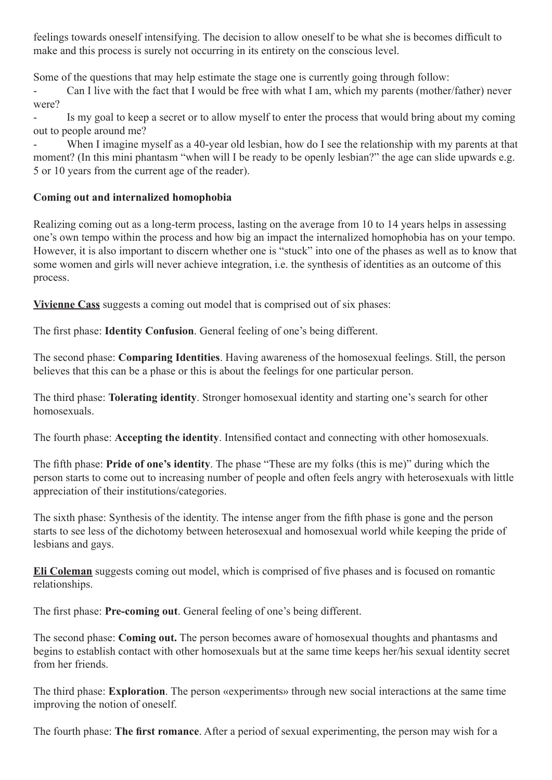feelings towards oneself intensifying. The decision to allow oneself to be what she is becomes difficult to make and this process is surely not occurring in its entirety on the conscious level.

Some of the questions that may help estimate the stage one is currently going through follow:

- Can I live with the fact that I would be free with what I am, which my parents (mother/father) never were?

Is my goal to keep a secret or to allow myself to enter the process that would bring about my coming out to people around me?

When I imagine myself as a 40-year old lesbian, how do I see the relationship with my parents at that moment? (In this mini phantasm "when will I be ready to be openly lesbian?" the age can slide upwards e.g. 5 or 10 years from the current age of the reader).

## **Coming out and internalized homophobia**

Realizing coming out as a long-term process, lasting on the average from 10 to 14 years helps in assessing one's own tempo within the process and how big an impact the internalized homophobia has on your tempo. However, it is also important to discern whether one is "stuck" into one of the phases as well as to know that some women and girls will never achieve integration, i.e. the synthesis of identities as an outcome of this process.

**Vivienne Cass** suggests a coming out model that is comprised out of six phases:

The first phase: **Identity Confusion**. General feeling of one's being different.

The second phase: **Comparing Identities**. Having awareness of the homosexual feelings. Still, the person believes that this can be a phase or this is about the feelings for one particular person.

The third phase: **Tolerating identity**. Stronger homosexual identity and starting one's search for other homosexuals.

The fourth phase: **Accepting the identity**. Intensified contact and connecting with other homosexuals.

The fifth phase: **Pride of one's identity**. The phase "These are my folks (this is me)" during which the person starts to come out to increasing number of people and often feels angry with heterosexuals with little appreciation of their institutions/categories.

The sixth phase: Synthesis of the identity. The intense anger from the fifth phase is gone and the person starts to see less of the dichotomy between heterosexual and homosexual world while keeping the pride of lesbians and gays.

**Eli Coleman** suggests coming out model, which is comprised of five phases and is focused on romantic relationships.

The first phase: **Pre-coming out**. General feeling of one's being different.

The second phase: **Coming out.** The person becomes aware of homosexual thoughts and phantasms and begins to establish contact with other homosexuals but at the same time keeps her/his sexual identity secret from her friends.

The third phase: **Exploration**. The person «experiments» through new social interactions at the same time improving the notion of oneself.

The fourth phase: **The first romance**. After a period of sexual experimenting, the person may wish for a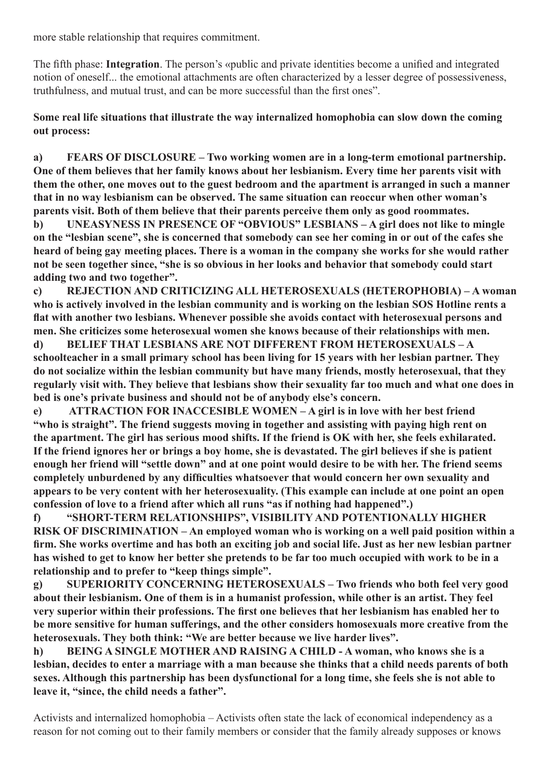more stable relationship that requires commitment.

The fifth phase: **Integration**. The person's «public and private identities become a unified and integrated notion of oneself... the emotional attachments are often characterized by a lesser degree of possessiveness, truthfulness, and mutual trust, and can be more successful than the first ones".

**Some real life situations that illustrate the way internalized homophobia can slow down the coming out process:**

**a) FEARS OF DISCLOSURE – Two working women are in a long-term emotional partnership. One of them believes that her family knows about her lesbianism. Every time her parents visit with them the other, one moves out to the guest bedroom and the apartment is arranged in such a manner that in no way lesbianism can be observed. The same situation can reoccur when other woman's parents visit. Both of them believe that their parents perceive them only as good roommates. b) UNEASYNESS IN PRESENCE OF "OBVIOUS" LESBIANS – A girl does not like to mingle** 

**on the "lesbian scene", she is concerned that somebody can see her coming in or out of the cafes she heard of being gay meeting places. There is a woman in the company she works for she would rather not be seen together since, "she is so obvious in her looks and behavior that somebody could start adding two and two together".** 

**c) REJECTION AND CRITICIZING ALL HETEROSEXUALS (HETEROPHOBIA) – A woman who is actively involved in the lesbian community and is working on the lesbian SOS Hotline rents a flat with another two lesbians. Whenever possible she avoids contact with heterosexual persons and men. She criticizes some heterosexual women she knows because of their relationships with men.**

**d) BELIEF THAT LESBIANS ARE NOT DIFFERENT FROM HETEROSEXUALS – A schoolteacher in a small primary school has been living for 15 years with her lesbian partner. They do not socialize within the lesbian community but have many friends, mostly heterosexual, that they regularly visit with. They believe that lesbians show their sexuality far too much and what one does in bed is one's private business and should not be of anybody else's concern.** 

**e) ATTRACTION FOR INACCESIBLE WOMEN – A girl is in love with her best friend "who is straight". The friend suggests moving in together and assisting with paying high rent on the apartment. The girl has serious mood shifts. If the friend is OK with her, she feels exhilarated. If the friend ignores her or brings a boy home, she is devastated. The girl believes if she is patient enough her friend will "settle down" and at one point would desire to be with her. The friend seems completely unburdened by any difficulties whatsoever that would concern her own sexuality and appears to be very content with her heterosexuality. (This example can include at one point an open confession of love to a friend after which all runs "as if nothing had happened".)**

**f) "SHORT-TERM RELATIONSHIPS", VISIBILITY AND POTENTIONALLY HIGHER RISK OF DISCRIMINATION – An employed woman who is working on a well paid position within a firm. She works overtime and has both an exciting job and social life. Just as her new lesbian partner has wished to get to know her better she pretends to be far too much occupied with work to be in a relationship and to prefer to "keep things simple".**

**g) SUPERIORITY CONCERNING HETEROSEXUALS – Two friends who both feel very good about their lesbianism. One of them is in a humanist profession, while other is an artist. They feel very superior within their professions. The first one believes that her lesbianism has enabled her to be more sensitive for human sufferings, and the other considers homosexuals more creative from the heterosexuals. They both think: "We are better because we live harder lives".** 

**h) BEING A SINGLE MOTHER AND RAISING A CHILD - A woman, who knows she is a lesbian, decides to enter a marriage with a man because she thinks that a child needs parents of both sexes. Although this partnership has been dysfunctional for a long time, she feels she is not able to leave it, "since, the child needs a father".**

Activists and internalized homophobia – Activists often state the lack of economical independency as a reason for not coming out to their family members or consider that the family already supposes or knows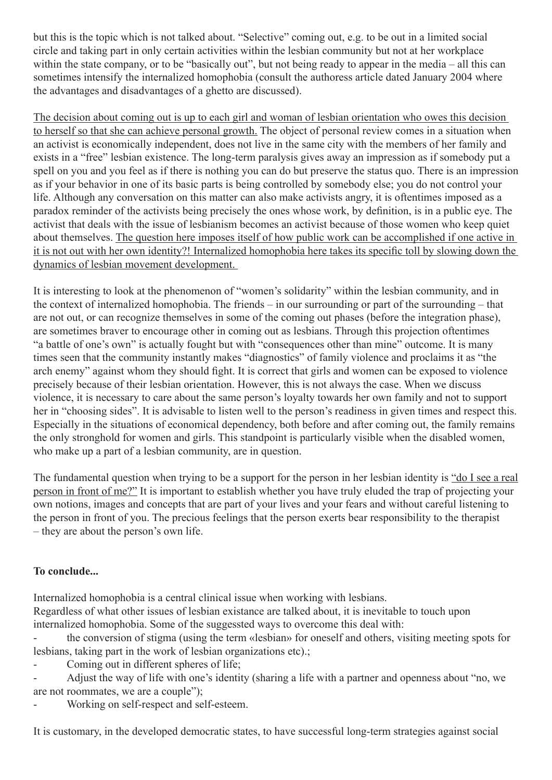but this is the topic which is not talked about. "Selective" coming out, e.g. to be out in a limited social circle and taking part in only certain activities within the lesbian community but not at her workplace within the state company, or to be "basically out", but not being ready to appear in the media – all this can sometimes intensify the internalized homophobia (consult the authoress article dated January 2004 where the advantages and disadvantages of a ghetto are discussed).

The decision about coming out is up to each girl and woman of lesbian orientation who owes this decision to herself so that she can achieve personal growth. The object of personal review comes in a situation when an activist is economically independent, does not live in the same city with the members of her family and exists in a "free" lesbian existence. The long-term paralysis gives away an impression as if somebody put a spell on you and you feel as if there is nothing you can do but preserve the status quo. There is an impression as if your behavior in one of its basic parts is being controlled by somebody else; you do not control your life. Although any conversation on this matter can also make activists angry, it is oftentimes imposed as a paradox reminder of the activists being precisely the ones whose work, by definition, is in a public eye. The activist that deals with the issue of lesbianism becomes an activist because of those women who keep quiet about themselves. The question here imposes itself of how public work can be accomplished if one active in it is not out with her own identity?! Internalized homophobia here takes its specific toll by slowing down the dynamics of lesbian movement development.

It is interesting to look at the phenomenon of "women's solidarity" within the lesbian community, and in the context of internalized homophobia. The friends – in our surrounding or part of the surrounding – that are not out, or can recognize themselves in some of the coming out phases (before the integration phase), are sometimes braver to encourage other in coming out as lesbians. Through this projection oftentimes "a battle of one's own" is actually fought but with "consequences other than mine" outcome. It is many times seen that the community instantly makes "diagnostics" of family violence and proclaims it as "the arch enemy" against whom they should fight. It is correct that girls and women can be exposed to violence precisely because of their lesbian orientation. However, this is not always the case. When we discuss violence, it is necessary to care about the same person's loyalty towards her own family and not to support her in "choosing sides". It is advisable to listen well to the person's readiness in given times and respect this. Especially in the situations of economical dependency, both before and after coming out, the family remains the only stronghold for women and girls. This standpoint is particularly visible when the disabled women, who make up a part of a lesbian community, are in question.

The fundamental question when trying to be a support for the person in her lesbian identity is "do I see a real person in front of me?" It is important to establish whether you have truly eluded the trap of projecting your own notions, images and concepts that are part of your lives and your fears and without careful listening to the person in front of you. The precious feelings that the person exerts bear responsibility to the therapist – they are about the person's own life.

## **To conclude...**

Internalized homophobia is a central clinical issue when working with lesbians.

Regardless of what other issues of lesbian existance are talked about, it is inevitable to touch upon internalized homophobia. Some of the suggessted ways to overcome this deal with:

- the conversion of stigma (using the term «lesbian» for oneself and others, visiting meeting spots for lesbians, taking part in the work of lesbian organizations etc).;

Coming out in different spheres of life;

- Adjust the way of life with one's identity (sharing a life with a partner and openness about "no, we are not roommates, we are a couple");

Working on self-respect and self-esteem.

It is customary, in the developed democratic states, to have successful long-term strategies against social